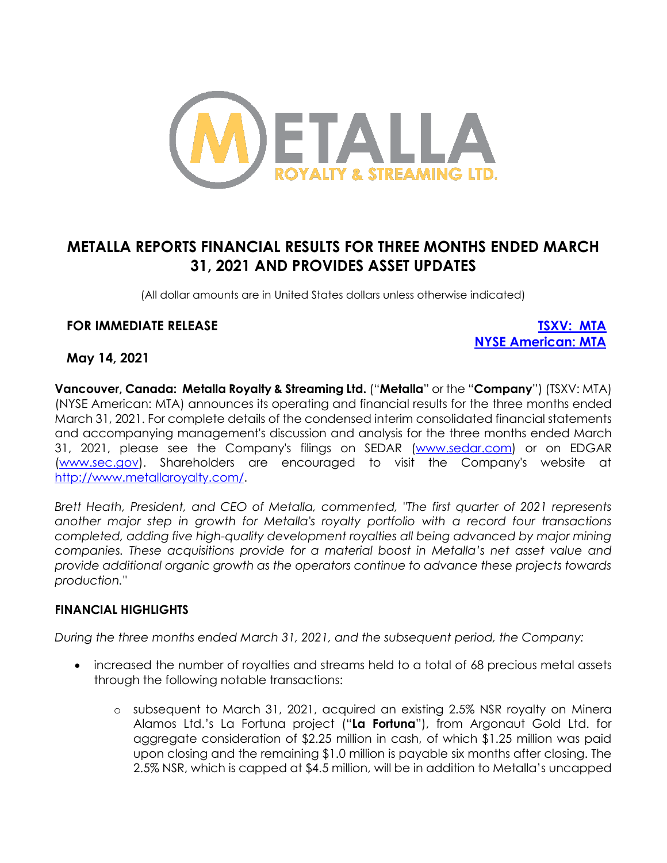

# **METALLA REPORTS FINANCIAL RESULTS FOR THREE MONTHS ENDED MARCH 31, 2021 AND PROVIDES ASSET UPDATES**

(All dollar amounts are in United States dollars unless otherwise indicated)

# **FOR IMMEDIATE RELEASE [TSXV: MTA](https://money.tmx.com/en/quote/MTA)**

**[NYSE American: MTA](https://www.nyse.com/quote/XASE:MTA)**

### **May 14, 2021**

**Vancouver, Canada: Metalla Royalty & Streaming Ltd.** ("**Metalla**" or the "**Company**") (TSXV: MTA) (NYSE American: MTA) announces its operating and financial results for the three months ended March 31, 2021. For complete details of the condensed interim consolidated financial statements and accompanying management's discussion and analysis for the three months ended March 31, 2021, please see the Company's filings on SEDAR [\(www.sedar.com\)](http://www.sedar.com/) or on EDGAR [\(www.sec.gov\)](http://www.sec.gov/). Shareholders are encouraged to visit the Company's website at [http://www.metallaroyalty.com/.](http://www.metallaroyalty.com/)

*Brett Heath, President, and CEO of Metalla, commented, "The first quarter of 2021 represents another major step in growth for Metalla's royalty portfolio with a record four transactions completed, adding five high-quality development royalties all being advanced by major mining companies. These acquisitions provide for a material boost in Metalla's net asset value and provide additional organic growth as the operators continue to advance these projects towards production."*

#### **FINANCIAL HIGHLIGHTS**

*During the three months ended March 31, 2021, and the subsequent period, the Company:*

- increased the number of royalties and streams held to a total of 68 precious metal assets through the following notable transactions:
	- o subsequent to March 31, 2021, acquired an existing 2.5% NSR royalty on Minera Alamos Ltd.'s La Fortuna project ("**La Fortuna**"), from Argonaut Gold Ltd. for aggregate consideration of \$2.25 million in cash, of which \$1.25 million was paid upon closing and the remaining \$1.0 million is payable six months after closing. The 2.5% NSR, which is capped at \$4.5 million, will be in addition to Metalla's uncapped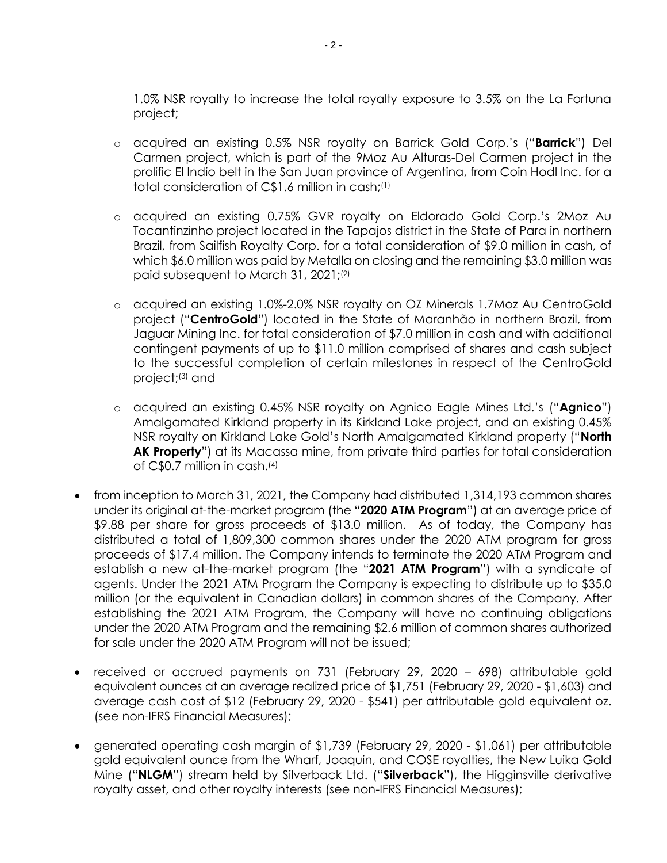1.0% NSR royalty to increase the total royalty exposure to 3.5% on the La Fortuna project;

- o acquired an existing 0.5% NSR royalty on Barrick Gold Corp.'s ("**Barrick**") Del Carmen project, which is part of the 9Moz Au Alturas-Del Carmen project in the prolific El Indio belt in the San Juan province of Argentina, from Coin Hodl Inc. for a total consideration of C\$1.6 million in cash;(1)
- o acquired an existing 0.75% GVR royalty on Eldorado Gold Corp.'s 2Moz Au Tocantinzinho project located in the Tapajos district in the State of Para in northern Brazil, from Sailfish Royalty Corp. for a total consideration of \$9.0 million in cash, of which \$6.0 million was paid by Metalla on closing and the remaining \$3.0 million was paid subsequent to March 31, 2021; (2)
- o acquired an existing 1.0%-2.0% NSR royalty on OZ Minerals 1.7Moz Au CentroGold project ("**CentroGold**") located in the State of Maranhão in northern Brazil, from Jaguar Mining Inc. for total consideration of \$7.0 million in cash and with additional contingent payments of up to \$11.0 million comprised of shares and cash subject to the successful completion of certain milestones in respect of the CentroGold project; (3) and
- o acquired an existing 0.45% NSR royalty on Agnico Eagle Mines Ltd.'s ("**Agnico**") Amalgamated Kirkland property in its Kirkland Lake project, and an existing 0.45% NSR royalty on Kirkland Lake Gold's North Amalgamated Kirkland property ("**North AK Property**") at its Macassa mine, from private third parties for total consideration of C\$0.7 million in cash.(4)
- from inception to March 31, 2021, the Company had distributed 1,314,193 common shares under its original at-the-market program (the "**2020 ATM Program**") at an average price of \$9.88 per share for gross proceeds of \$13.0 million. As of today, the Company has distributed a total of 1,809,300 common shares under the 2020 ATM program for gross proceeds of \$17.4 million. The Company intends to terminate the 2020 ATM Program and establish a new at-the-market program (the "**2021 ATM Program**") with a syndicate of agents. Under the 2021 ATM Program the Company is expecting to distribute up to \$35.0 million (or the equivalent in Canadian dollars) in common shares of the Company. After establishing the 2021 ATM Program, the Company will have no continuing obligations under the 2020 ATM Program and the remaining \$2.6 million of common shares authorized for sale under the 2020 ATM Program will not be issued;
- received or accrued payments on 731 (February 29, 2020 698) attributable gold equivalent ounces at an average realized price of \$1,751 (February 29, 2020 - \$1,603) and average cash cost of \$12 (February 29, 2020 - \$541) per attributable gold equivalent oz. (see non-IFRS Financial Measures);
- generated operating cash margin of \$1,739 (February 29, 2020 \$1,061) per attributable gold equivalent ounce from the Wharf, Joaquin, and COSE royalties, the New Luika Gold Mine ("**NLGM**") stream held by Silverback Ltd. ("**Silverback**"), the Higginsville derivative royalty asset, and other royalty interests (see non-IFRS Financial Measures);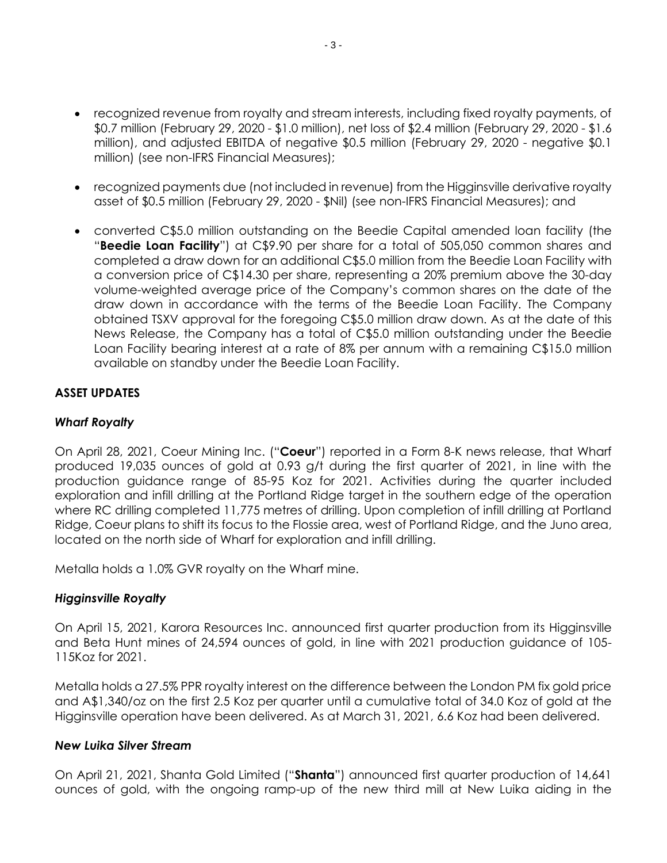- recognized revenue from royalty and stream interests, including fixed royalty payments, of \$0.7 million (February 29, 2020 - \$1.0 million), net loss of \$2.4 million (February 29, 2020 - \$1.6 million), and adjusted EBITDA of negative \$0.5 million (February 29, 2020 - negative \$0.1 million) (see non-IFRS Financial Measures);
- recognized payments due (not included in revenue) from the Higginsville derivative royalty asset of \$0.5 million (February 29, 2020 - \$Nil) (see non-IFRS Financial Measures); and
- converted C\$5.0 million outstanding on the Beedie Capital amended loan facility (the "**Beedie Loan Facility**") at C\$9.90 per share for a total of 505,050 common shares and completed a draw down for an additional C\$5.0 million from the Beedie Loan Facility with a conversion price of C\$14.30 per share, representing a 20% premium above the 30-day volume-weighted average price of the Company's common shares on the date of the draw down in accordance with the terms of the Beedie Loan Facility. The Company obtained TSXV approval for the foregoing C\$5.0 million draw down. As at the date of this News Release, the Company has a total of C\$5.0 million outstanding under the Beedie Loan Facility bearing interest at a rate of 8% per annum with a remaining C\$15.0 million available on standby under the Beedie Loan Facility.

### **ASSET UPDATES**

### *Wharf Royalty*

On April 28, 2021, Coeur Mining Inc. ("**Coeur**") reported in a Form 8-K news release, that Wharf produced 19,035 ounces of gold at 0.93 g/t during the first quarter of 2021, in line with the production guidance range of 85-95 Koz for 2021. Activities during the quarter included exploration and infill drilling at the Portland Ridge target in the southern edge of the operation where RC drilling completed 11,775 metres of drilling. Upon completion of infill drilling at Portland Ridge, Coeur plans to shift its focus to the Flossie area, west of Portland Ridge, and the Juno area, located on the north side of Wharf for exploration and infill drilling.

Metalla holds a 1.0% GVR royalty on the Wharf mine.

#### *Higginsville Royalty*

On April 15, 2021, Karora Resources Inc. announced first quarter production from its Higginsville and Beta Hunt mines of 24,594 ounces of gold, in line with 2021 production guidance of 105- 115Koz for 2021.

Metalla holds a 27.5% PPR royalty interest on the difference between the London PM fix gold price and A\$1,340/oz on the first 2.5 Koz per quarter until a cumulative total of 34.0 Koz of gold at the Higginsville operation have been delivered. As at March 31, 2021, 6.6 Koz had been delivered.

#### *New Luika Silver Stream*

On April 21, 2021, Shanta Gold Limited ("**Shanta**") announced first quarter production of 14,641 ounces of gold, with the ongoing ramp-up of the new third mill at New Luika aiding in the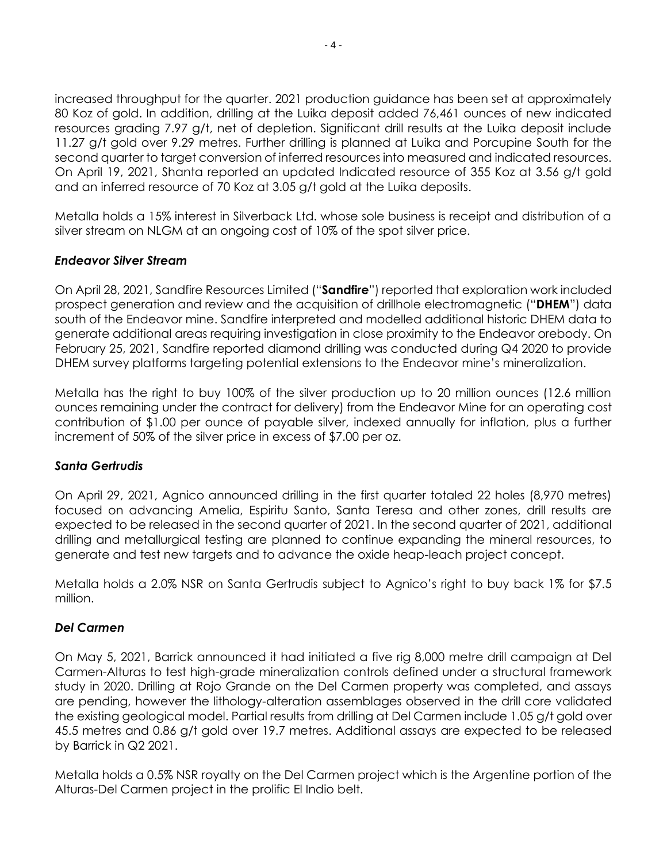increased throughput for the quarter. 2021 production guidance has been set at approximately 80 Koz of gold. In addition, drilling at the Luika deposit added 76,461 ounces of new indicated resources grading 7.97 g/t, net of depletion. Significant drill results at the Luika deposit include 11.27 g/t gold over 9.29 metres. Further drilling is planned at Luika and Porcupine South for the second quarter to target conversion of inferred resources into measured and indicated resources. On April 19, 2021, Shanta reported an updated Indicated resource of 355 Koz at 3.56 g/t gold and an inferred resource of 70 Koz at 3.05 g/t gold at the Luika deposits.

Metalla holds a 15% interest in Silverback Ltd. whose sole business is receipt and distribution of a silver stream on NLGM at an ongoing cost of 10% of the spot silver price.

# *Endeavor Silver Stream*

On April 28, 2021, Sandfire Resources Limited ("**Sandfire**") reported that exploration work included prospect generation and review and the acquisition of drillhole electromagnetic ("**DHEM**") data south of the Endeavor mine. Sandfire interpreted and modelled additional historic DHEM data to generate additional areas requiring investigation in close proximity to the Endeavor orebody. On February 25, 2021, Sandfire reported diamond drilling was conducted during Q4 2020 to provide DHEM survey platforms targeting potential extensions to the Endeavor mine's mineralization.

Metalla has the right to buy 100% of the silver production up to 20 million ounces (12.6 million ounces remaining under the contract for delivery) from the Endeavor Mine for an operating cost contribution of \$1.00 per ounce of payable silver, indexed annually for inflation, plus a further increment of 50% of the silver price in excess of \$7.00 per oz.

# *Santa Gertrudis*

On April 29, 2021, Agnico announced drilling in the first quarter totaled 22 holes (8,970 metres) focused on advancing Amelia, Espiritu Santo, Santa Teresa and other zones, drill results are expected to be released in the second quarter of 2021. In the second quarter of 2021, additional drilling and metallurgical testing are planned to continue expanding the mineral resources, to generate and test new targets and to advance the oxide heap-leach project concept.

Metalla holds a 2.0% NSR on Santa Gertrudis subject to Agnico's right to buy back 1% for \$7.5 million.

# *Del Carmen*

On May 5, 2021, Barrick announced it had initiated a five rig 8,000 metre drill campaign at Del Carmen-Alturas to test high-grade mineralization controls defined under a structural framework study in 2020. Drilling at Rojo Grande on the Del Carmen property was completed, and assays are pending, however the lithology-alteration assemblages observed in the drill core validated the existing geological model. Partial results from drilling at Del Carmen include 1.05 g/t gold over 45.5 metres and 0.86 g/t gold over 19.7 metres. Additional assays are expected to be released by Barrick in Q2 2021.

Metalla holds a 0.5% NSR royalty on the Del Carmen project which is the Argentine portion of the Alturas-Del Carmen project in the prolific El Indio belt.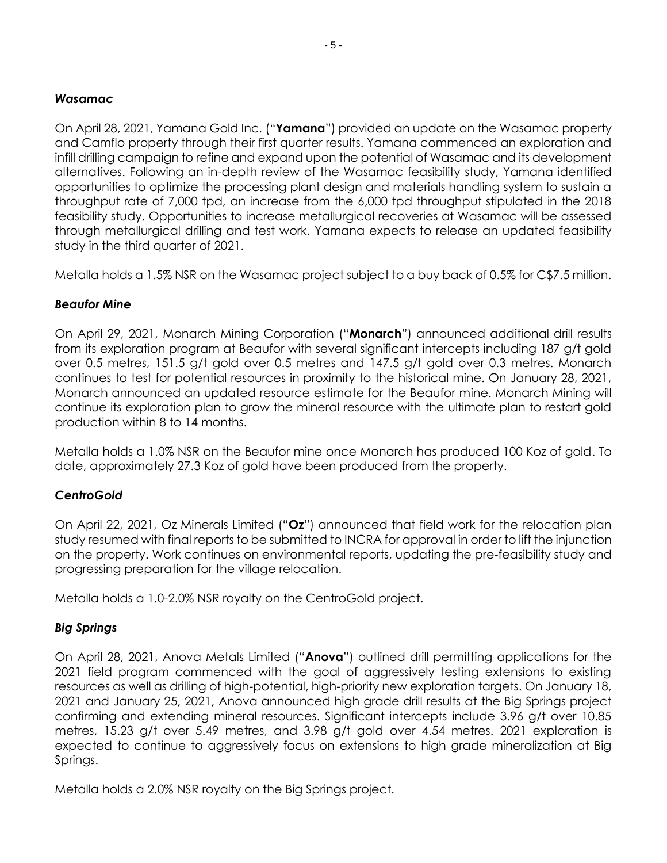### *Wasamac*

On April 28, 2021, Yamana Gold Inc. ("**Yamana**") provided an update on the Wasamac property and Camflo property through their first quarter results. Yamana commenced an exploration and infill drilling campaign to refine and expand upon the potential of Wasamac and its development alternatives. Following an in-depth review of the Wasamac feasibility study, Yamana identified opportunities to optimize the processing plant design and materials handling system to sustain a throughput rate of 7,000 tpd, an increase from the 6,000 tpd throughput stipulated in the 2018 feasibility study. Opportunities to increase metallurgical recoveries at Wasamac will be assessed through metallurgical drilling and test work. Yamana expects to release an updated feasibility study in the third quarter of 2021.

Metalla holds a 1.5% NSR on the Wasamac project subject to a buy back of 0.5% for C\$7.5 million.

# *Beaufor Mine*

On April 29, 2021, Monarch Mining Corporation ("**Monarch**") announced additional drill results from its exploration program at Beaufor with several significant intercepts including 187 g/t gold over 0.5 metres, 151.5 g/t gold over 0.5 metres and 147.5 g/t gold over 0.3 metres. Monarch continues to test for potential resources in proximity to the historical mine. On January 28, 2021, Monarch announced an updated resource estimate for the Beaufor mine. Monarch Mining will continue its exploration plan to grow the mineral resource with the ultimate plan to restart gold production within 8 to 14 months.

Metalla holds a 1.0% NSR on the Beaufor mine once Monarch has produced 100 Koz of gold. To date, approximately 27.3 Koz of gold have been produced from the property.

# *CentroGold*

On April 22, 2021, Oz Minerals Limited ("**Oz**") announced that field work for the relocation plan study resumed with final reports to be submitted to INCRA for approval in order to lift the injunction on the property. Work continues on environmental reports, updating the pre-feasibility study and progressing preparation for the village relocation.

Metalla holds a 1.0-2.0% NSR royalty on the CentroGold project.

# *Big Springs*

On April 28, 2021, Anova Metals Limited ("**Anova**") outlined drill permitting applications for the 2021 field program commenced with the goal of aggressively testing extensions to existing resources as well as drilling of high-potential, high-priority new exploration targets. On January 18, 2021 and January 25, 2021, Anova announced high grade drill results at the Big Springs project confirming and extending mineral resources. Significant intercepts include 3.96 g/t over 10.85 metres, 15.23 g/t over 5.49 metres, and 3.98 g/t gold over 4.54 metres. 2021 exploration is expected to continue to aggressively focus on extensions to high grade mineralization at Big Springs.

Metalla holds a 2.0% NSR royalty on the Big Springs project.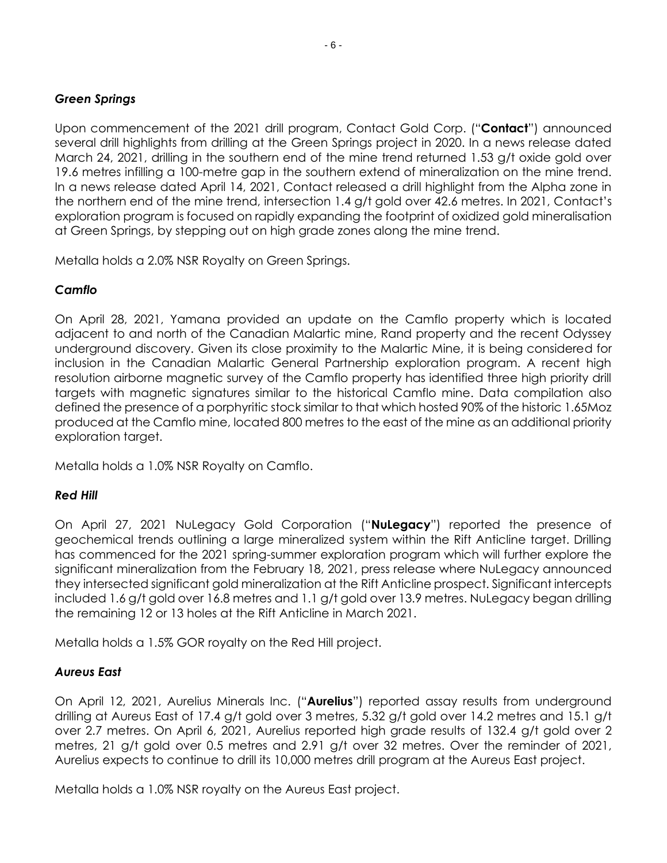# *Green Springs*

Upon commencement of the 2021 drill program, Contact Gold Corp. ("**Contact**") announced several drill highlights from drilling at the Green Springs project in 2020. In a news release dated March 24, 2021, drilling in the southern end of the mine trend returned 1.53 g/t oxide gold over 19.6 metres infilling a 100-metre gap in the southern extend of mineralization on the mine trend. In a news release dated April 14, 2021, Contact released a drill highlight from the Alpha zone in the northern end of the mine trend, intersection 1.4 g/t gold over 42.6 metres. In 2021, Contact's exploration program is focused on rapidly expanding the footprint of oxidized gold mineralisation at Green Springs, by stepping out on high grade zones along the mine trend.

Metalla holds a 2.0% NSR Royalty on Green Springs.

# *Camflo*

On April 28, 2021, Yamana provided an update on the Camflo property which is located adjacent to and north of the Canadian Malartic mine, Rand property and the recent Odyssey underground discovery. Given its close proximity to the Malartic Mine, it is being considered for inclusion in the Canadian Malartic General Partnership exploration program. A recent high resolution airborne magnetic survey of the Camflo property has identified three high priority drill targets with magnetic signatures similar to the historical Camflo mine. Data compilation also defined the presence of a porphyritic stock similar to that which hosted 90% of the historic 1.65Moz produced at the Camflo mine, located 800 metres to the east of the mine as an additional priority exploration target.

Metalla holds a 1.0% NSR Royalty on Camflo.

# *Red Hill*

On April 27, 2021 NuLegacy Gold Corporation ("**NuLegacy**") reported the presence of geochemical trends outlining a large mineralized system within the Rift Anticline target. Drilling has commenced for the 2021 spring-summer exploration program which will further explore the significant mineralization from the February 18, 2021, press release where NuLegacy announced they intersected significant gold mineralization at the Rift Anticline prospect. Significant intercepts included 1.6 g/t gold over 16.8 metres and 1.1 g/t gold over 13.9 metres. NuLegacy began drilling the remaining 12 or 13 holes at the Rift Anticline in March 2021.

Metalla holds a 1.5% GOR royalty on the Red Hill project.

# *Aureus East*

On April 12, 2021, Aurelius Minerals Inc. ("**Aurelius**") reported assay results from underground drilling at Aureus East of 17.4 g/t gold over 3 metres, 5.32 g/t gold over 14.2 metres and 15.1 g/t over 2.7 metres. On April 6, 2021, Aurelius reported high grade results of 132.4 g/t gold over 2 metres, 21 g/t gold over 0.5 metres and 2.91 g/t over 32 metres. Over the reminder of 2021, Aurelius expects to continue to drill its 10,000 metres drill program at the Aureus East project.

Metalla holds a 1.0% NSR royalty on the Aureus East project.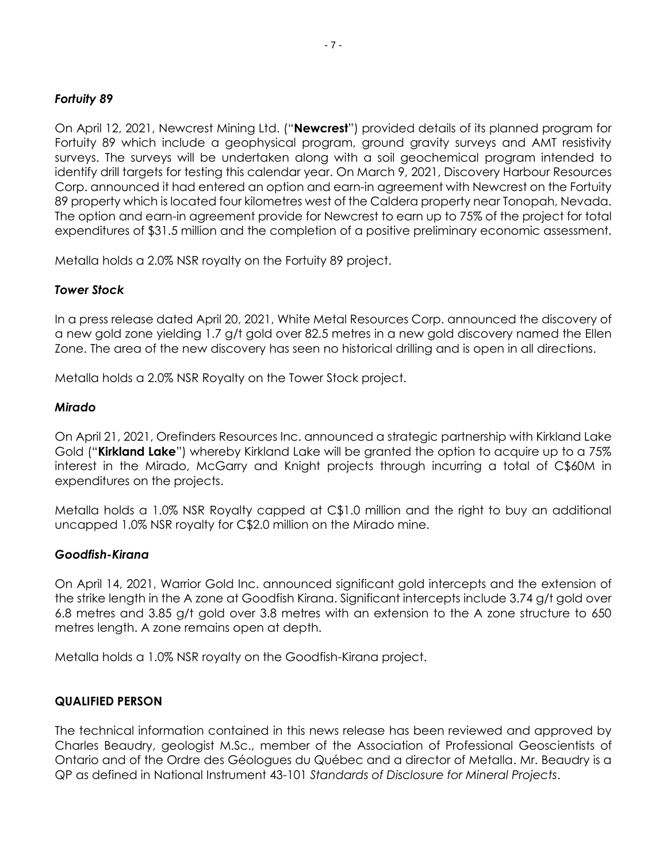### *Fortuity 89*

On April 12, 2021, Newcrest Mining Ltd. ("**Newcrest**") provided details of its planned program for Fortuity 89 which include a geophysical program, ground gravity surveys and AMT resistivity surveys. The surveys will be undertaken along with a soil geochemical program intended to identify drill targets for testing this calendar year. On March 9, 2021, Discovery Harbour Resources Corp. announced it had entered an option and earn-in agreement with Newcrest on the Fortuity 89 property which is located four kilometres west of the Caldera property near Tonopah, Nevada. The option and earn-in agreement provide for Newcrest to earn up to 75% of the project for total expenditures of \$31.5 million and the completion of a positive preliminary economic assessment.

Metalla holds a 2.0% NSR royalty on the Fortuity 89 project.

### *Tower Stock*

In a press release dated April 20, 2021, White Metal Resources Corp. announced the discovery of a new gold zone yielding 1.7 g/t gold over 82.5 metres in a new gold discovery named the Ellen Zone. The area of the new discovery has seen no historical drilling and is open in all directions.

Metalla holds a 2.0% NSR Royalty on the Tower Stock project.

#### *Mirado*

On April 21, 2021, Orefinders Resources Inc. announced a strategic partnership with Kirkland Lake Gold ("**Kirkland Lake**") whereby Kirkland Lake will be granted the option to acquire up to a 75% interest in the Mirado, McGarry and Knight projects through incurring a total of C\$60M in expenditures on the projects.

Metalla holds a 1.0% NSR Royalty capped at C\$1.0 million and the right to buy an additional uncapped 1.0% NSR royalty for C\$2.0 million on the Mirado mine.

#### *Goodfish-Kirana*

On April 14, 2021, Warrior Gold Inc. announced significant gold intercepts and the extension of the strike length in the A zone at Goodfish Kirana. Significant intercepts include 3.74 g/t gold over 6.8 metres and 3.85 g/t gold over 3.8 metres with an extension to the A zone structure to 650 metres length. A zone remains open at depth.

Metalla holds a 1.0% NSR royalty on the Goodfish-Kirana project.

#### **QUALIFIED PERSON**

The technical information contained in this news release has been reviewed and approved by Charles Beaudry, geologist M.Sc., member of the Association of Professional Geoscientists of Ontario and of the Ordre des Géologues du Québec and a director of Metalla. Mr. Beaudry is a QP as defined in National Instrument 43-101 *Standards of Disclosure for Mineral Projects*.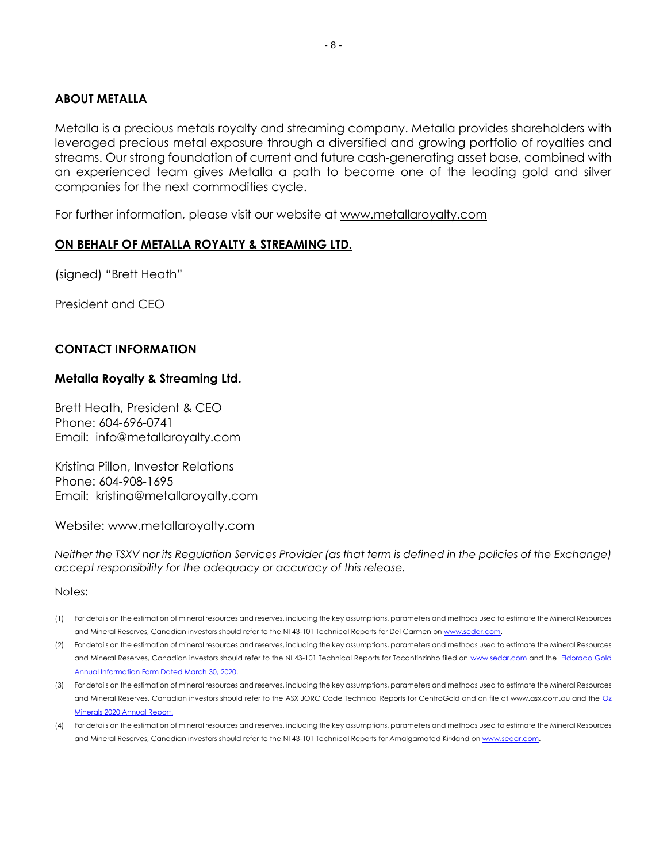#### **ABOUT METALLA**

Metalla is a precious metals royalty and streaming company. Metalla provides shareholders with leveraged precious metal exposure through a diversified and growing portfolio of royalties and streams. Our strong foundation of current and future cash-generating asset base, combined with an experienced team gives Metalla a path to become one of the leading gold and silver companies for the next commodities cycle.

For further information, please visit our website at [www.metallaroyalty.com](http://www.metallaroyalty.com/)

# **ON BEHALF OF METALLA ROYALTY & STREAMING LTD.**

(signed) "Brett Heath"

President and CEO

#### **CONTACT INFORMATION**

#### **Metalla Royalty & Streaming Ltd.**

Brett Heath, President & CEO Phone: [604-696-0741](tel:604-696-0741) Email: info@metallaroyalty.com

Kristina Pillon, Investor Relations Phone: 604-908-1695 Email: kristina@metallaroyalty.com

Website: [www.metallaroyalty.com](http://www.metallaroyalty.com/)

*Neither the TSXV nor its Regulation Services Provider (as that term is defined in the policies of the Exchange) accept responsibility for the adequacy or accuracy of this release.*

#### Notes:

- (1) For details on the estimation of mineral resources and reserves, including the key assumptions, parameters and methods used to estimate the Mineral Resources and Mineral Reserves, Canadian investors should refer to the NI 43-101 Technical Reports for Del Carmen o[n www.sedar.com.](http://www.sedar.com/)
- (2) For details on the estimation of mineral resources and reserves, including the key assumptions, parameters and methods used to estimate the Mineral Resources and Mineral Reserves, Canadian investors should refer to the NI 43-101 Technical Reports for Tocantinzinho filed on [www.sedar.com](http://www.sedar.com/) and the Eldorado Gold [Annual Information Form Dated March 30, 2020.](http://d18rn0p25nwr6d.cloudfront.net/CIK-0000918608/fbad7905-08f2-41b4-b066-5d32473c7b77.pdf)
- (3) For details on the estimation of mineral resources and reserves, including the key assumptions, parameters and methods used to estimate the Mineral Resources and Mineral Reserves, Canadian investors should refer to the ASX JORC Code Technical Reports for CentroGold and on file at www.asx.com.au and the Oz [Minerals 2020 Annual Report.](https://www.ozminerals.com/uploads/media/210218_OZ_Minerals_2020_Annual_and_Sustainability_Report.pdf)
- (4) For details on the estimation of mineral resources and reserves, including the key assumptions, parameters and methods used to estimate the Mineral Resources and Mineral Reserves, Canadian investors should refer to the NI 43-101 Technical Reports for Amalgamated Kirkland o[n www.sedar.com.](http://www.sedar.com/)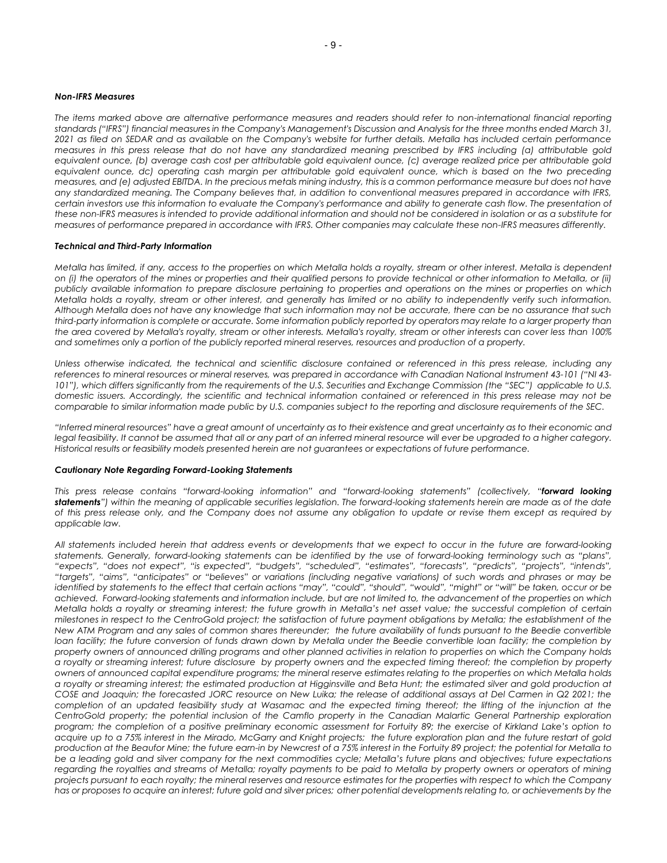#### *Non-IFRS Measures*

*The items marked above are alternative performance measures and readers should refer to non-international financial reporting standards ("IFRS") financial measures in the Company's Management's Discussion and Analysis for the three months ended March 31, 2021 as filed on SEDAR and as available on the Company's website for further details. Metalla has included certain performance measures in this press release that do not have any standardized meaning prescribed by IFRS including (a) attributable gold equivalent ounce, (b) average cash cost per attributable gold equivalent ounce, (c) average realized price per attributable gold equivalent ounce, dc) operating cash margin per attributable gold equivalent ounce, which is based on the two preceding measures, and (e) adjusted EBITDA. In the precious metals mining industry, this is a common performance measure but does not have any standardized meaning. The Company believes that, in addition to conventional measures prepared in accordance with IFRS, certain investors use this information to evaluate the Company's performance and ability to generate cash flow. The presentation of these non-IFRS measures is intended to provide additional information and should not be considered in isolation or as a substitute for measures of performance prepared in accordance with IFRS. Other companies may calculate these non-IFRS measures differently.*

#### *Technical and Third-Party Information*

*Metalla has limited, if any, access to the properties on which Metalla holds a royalty, stream or other interest. Metalla is dependent on (i) the operators of the mines or properties and their qualified persons to provide technical or other information to Metalla, or (ii) publicly available information to prepare disclosure pertaining to properties and operations on the mines or properties on which Metalla holds a royalty, stream or other interest, and generally has limited or no ability to independently verify such information. Although Metalla does not have any knowledge that such information may not be accurate, there can be no assurance that such third-party information is complete or accurate. Some information publicly reported by operators may relate to a larger property than the area covered by Metalla's royalty, stream or other interests. Metalla's royalty, stream or other interests can cover less than 100% and sometimes only a portion of the publicly reported mineral reserves, resources and production of a property.*

*Unless otherwise indicated, the technical and scientific disclosure contained or referenced in this press release, including any references to mineral resources or mineral reserves, was prepared in accordance with Canadian National Instrument 43-101 ("NI 43-* 101"), which differs significantly from the requirements of the U.S. Securities and Exchange Commission (the "SEC") applicable to U.S. *domestic issuers. Accordingly, the scientific and technical information contained or referenced in this press release may not be comparable to similar information made public by U.S. companies subject to the reporting and disclosure requirements of the SEC.*

*"Inferred mineral resources" have a great amount of uncertainty as to their existence and great uncertainty as to their economic and*  legal feasibility. It cannot be assumed that all or any part of an inferred mineral resource will ever be upgraded to a higher category. *Historical results or feasibility models presented herein are not guarantees or expectations of future performance.*

#### *Cautionary Note Regarding Forward-Looking Statements*

*This press release contains "forward-looking information" and "forward-looking statements" (collectively, "forward looking*  statements<sup>*"*</sup>) within the meaning of applicable securities legislation. The forward-looking statements herein are made as of the date *of this press release only, and the Company does not assume any obligation to update or revise them except as required by applicable law.*

*All statements included herein that address events or developments that we expect to occur in the future are forward-looking statements. Generally, forward-looking statements can be identified by the use of forward-looking terminology such as "plans", "expects", "does not expect", "is expected", "budgets", "scheduled", "estimates", "forecasts", "predicts", "projects", "intends", "targets", "aims", "anticipates" or "believes" or variations (including negative variations) of such words and phrases or may be identified by statements to the effect that certain actions "may", "could", "should", "would", "might" or "will" be taken, occur or be achieved. Forward-looking statements and information include, but are not limited to, the advancement of the properties on which Metalla holds a royalty or streaming interest; the future growth in Metalla's net asset value; the successful completion of certain milestones in respect to the CentroGold project; the satisfaction of future payment obligations by Metalla; the establishment of the New ATM Program and any sales of common shares thereunder; the future availability of funds pursuant to the Beedie convertible loan facility; the future conversion of funds drawn down by Metalla under the Beedie convertible loan facility; the completion by property owners of announced drilling programs and other planned activities in relation to properties on which the Company holds a royalty or streaming interest; future disclosure by property owners and the expected timing thereof; the completion by property owners of announced capital expenditure programs; the mineral reserve estimates relating to the properties on which Metalla holds a royalty or streaming interest; the estimated production at Higginsville and Beta Hunt; the estimated silver and gold production at COSE and Joaquin; the forecasted JORC resource on New Luika; the release of additional assays at Del Carmen in Q2 2021; the completion of an updated feasibility study at Wasamac and the expected timing thereof; the lifting of the injunction at the CentroGold property; the potential inclusion of the Camflo property in the Canadian Malartic General Partnership exploration program; the completion of a positive preliminary economic assessment for Fortuity 89; the exercise of Kirkland Lake's option to acquire up to a 75% interest in the Mirado, McGarry and Knight projects; the future exploration plan and the future restart of gold production at the Beaufor Mine; the future earn-in by Newcrest of a 75% interest in the Fortuity 89 project; the potential for Metalla to be a leading gold and silver company for the next commodities cycle; Metalla's future plans and objectives; future expectations regarding the royalties and streams of Metalla; royalty payments to be paid to Metalla by property owners or operators of mining projects pursuant to each royalty; the mineral reserves and resource estimates for the properties with respect to which the Company has or proposes to acquire an interest; future gold and silver prices; other potential developments relating to, or achievements by the*